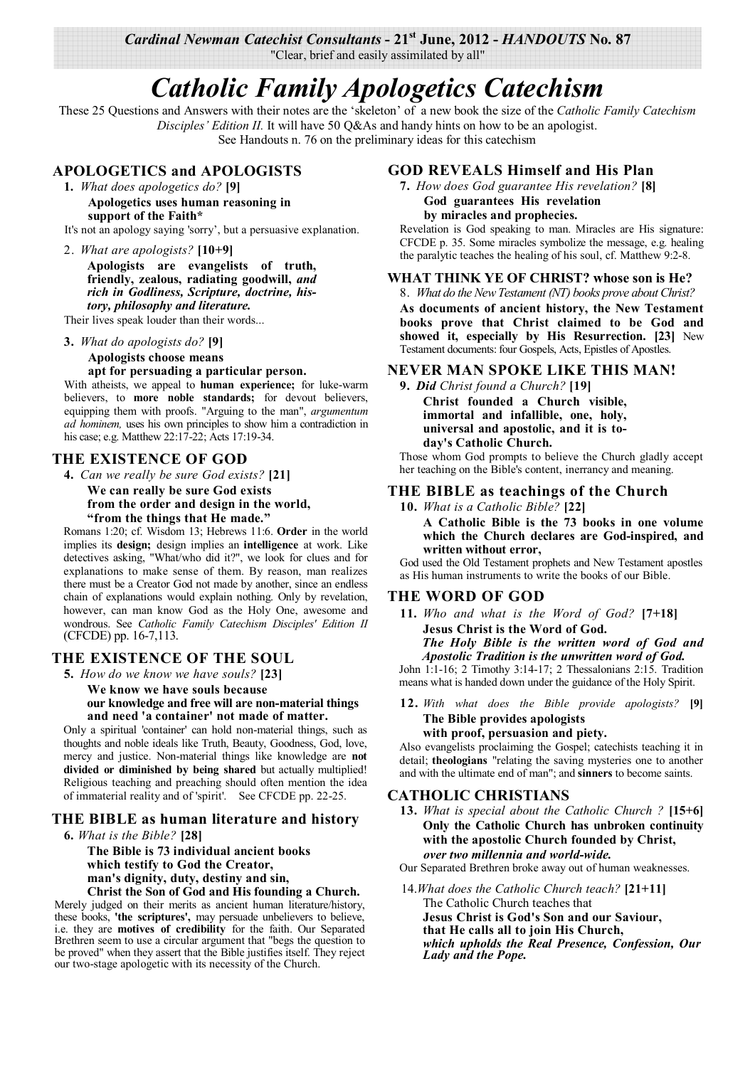*Cardinal Newman Catechist Consultants* **- 21st June, 2012 -** *HANDOUTS* **No. 87** 

"Clear, brief and easily assimilated by all"

# *Catholic Family Apologetics Catechism*

These 25 Questions and Answers with their notes are the 'skeleton' of a new book the size of the *Catholic Family Catechism Disciples' Edition II.* It will have 50 Q&As and handy hints on how to be an apologist. See Handouts n. 76 on the preliminary ideas for this catechism

# **APOLOGETICS and APOLOGISTS**

- **1.** *What does apologetics do?* **[9]**
	- **Apologetics uses human reasoning in support of the Faith\***

It's not an apology saying 'sorry', but a persuasive explanation.

2. *What are apologists?* **[10+9] Apologists are evangelists of truth, friendly, zealous, radiating goodwill,** *and rich in Godliness, Scripture, doctrine, history, philosophy and literature.* 

Their lives speak louder than their words...

#### **3.** *What do apologists do?* **[9]**

**Apologists choose means apt for persuading a particular person.**

With atheists, we appeal to **human experience;** for luke-warm believers, to **more noble standards;** for devout believers, equipping them with proofs. "Arguing to the man", *argumentum ad hominem,* uses his own principles to show him a contradiction in his case; e.g. Matthew 22:17-22; Acts 17:19-34.

## **THE EXISTENCE OF GOD**

**4.** *Can we really be sure God exists?* **[21]**

**We can really be sure God exists from the order and design in the world, "from the things that He made."**

Romans 1:20; cf. Wisdom 13; Hebrews 11:6. **Order** in the world implies its **design;** design implies an **intelligence** at work. Like detectives asking, "What/who did it?", we look for clues and for explanations to make sense of them. By reason, man realizes there must be a Creator God not made by another, since an endless chain of explanations would explain nothing. Only by revelation, however, can man know God as the Holy One, awesome and wondrous. See *Catholic Family Catechism Disciples' Edition II*  (CFCDE) pp. 16-7,113.

# **THE EXISTENCE OF THE SOUL**

**5.** *How do we know we have souls?* **[23]**

**We know we have souls because our knowledge and free will are non-material things and need 'a container' not made of matter.**

Only a spiritual 'container' can hold non-material things, such as thoughts and noble ideals like Truth, Beauty, Goodness, God, love, mercy and justice. Non-material things like knowledge are **not divided or diminished by being shared** but actually multiplied! Religious teaching and preaching should often mention the idea of immaterial reality and of 'spirit'. See CFCDE pp. 22-25.

# **THE BIBLE as human literature and history**

**6.** *What is the Bible?* **[28]**

**The Bible is 73 individual ancient books which testify to God the Creator, man's dignity, duty, destiny and sin, Christ the Son of God and His founding a Church.**

Merely judged on their merits as ancient human literature/history, these books, **'the scriptures',** may persuade unbelievers to believe, i.e. they are **motives of credibility** for the faith. Our Separated Brethren seem to use a circular argument that "begs the question to be proved" when they assert that the Bible justifies itself. They reject our two-stage apologetic with its necessity of the Church.

## **GOD REVEALS Himself and His Plan**

**7.** *How does God guarantee His revelation?* **[8] God guarantees His revelation by miracles and prophecies.**

Revelation is God speaking to man. Miracles are His signature: CFCDE p. 35. Some miracles symbolize the message, e.g. healing the paralytic teaches the healing of his soul, cf. Matthew 9:2-8.

#### **WHAT THINK YE OF CHRIST? whose son is He?**

8. *What do the New Testament (NT) books prove about Christ?*

**As documents of ancient history, the New Testament books prove that Christ claimed to be God and showed it, especially by His Resurrection. [23]** New Testament documents: four Gospels, Acts, Epistles of Apostles.

## **NEVER MAN SPOKE LIKE THIS MAN!**

**9.** *Did Christ found a Church?* **[19] Christ founded a Church visible, immortal and infallible, one, holy,** 

**universal and apostolic, and it is today's Catholic Church.**

Those whom God prompts to believe the Church gladly accept her teaching on the Bible's content, inerrancy and meaning.

## **THE BIBLE as teachings of the Church**

**10.** *What is a Catholic Bible?* **[22]**

**A Catholic Bible is the 73 books in one volume which the Church declares are God-inspired, and written without error,**

God used the Old Testament prophets and New Testament apostles as His human instruments to write the books of our Bible.

## **THE WORD OF GOD**

**11.** *Who and what is the Word of God?* **[7+18] Jesus Christ is the Word of God.**

*The Holy Bible is the written word of God and Apostolic Tradition is the unwritten word of God.* John 1:1-16; 2 Timothy 3:14-17; 2 Thessalonians 2:15. Tradition means what is handed down under the guidance of the Holy Spirit.

#### **12.** *With what does the Bible provide apologists?* **[9] The Bible provides apologists**

#### **with proof, persuasion and piety.**

Also evangelists proclaiming the Gospel; catechists teaching it in detail; **theologians** "relating the saving mysteries one to another and with the ultimate end of man"; and **sinners** to become saints.

#### **CATHOLIC CHRISTIANS**

**13.** *What is special about the Catholic Church ?* **[15+6] Only the Catholic Church has unbroken continuity with the apostolic Church founded by Christ,** *over two millennia and world-wide.*

Our Separated Brethren broke away out of human weaknesses.

14.*What does the Catholic Church teach?* **[21+11]** The Catholic Church teaches that **Jesus Christ is God's Son and our Saviour, that He calls all to join His Church,**  *which upholds the Real Presence, Confession, Our Lady and the Pope.*